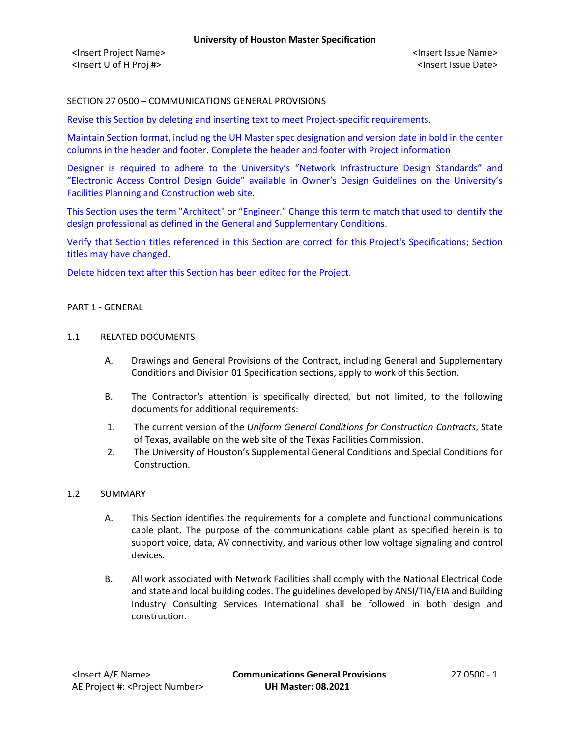### SECTION 27 0500 – COMMUNICATIONS GENERAL PROVISIONS

Revise this Section by deleting and inserting text to meet Project-specific requirements.

Maintain Section format, including the UH Master spec designation and version date in bold in the center columns in the header and footer. Complete the header and footer with Project information

Designer is required to adhere to the University's "Network Infrastructure Design Standards" and "Electronic Access Control Design Guide" available in Owner's Design Guidelines on the University's Facilities Planning and Construction web site.

This Section uses the term "Architect" or "Engineer." Change this term to match that used to identify the design professional as defined in the General and Supplementary Conditions.

Verify that Section titles referenced in this Section are correct for this Project's Specifications; Section titles may have changed.

Delete hidden text after this Section has been edited for the Project.

#### PART 1 - GENERAL

#### 1.1 RELATED DOCUMENTS

- A. Drawings and General Provisions of the Contract, including General and Supplementary Conditions and Division 01 Specification sections, apply to work of this Section.
- B. The Contractor's attention is specifically directed, but not limited, to the following documents for additional requirements:
- 1. The current version of the *Uniform General Conditions for Construction Contracts*, State of Texas, available on the web site of the Texas Facilities Commission.
- 2. The University of Houston's Supplemental General Conditions and Special Conditions for Construction.

#### 1.2 SUMMARY

- A. This Section identifies the requirements for a complete and functional communications cable plant. The purpose of the communications cable plant as specified herein is to support voice, data, AV connectivity, and various other low voltage signaling and control devices.
- B. All work associated with Network Facilities shall comply with the National Electrical Code and state and local building codes. The guidelines developed by ANSI/TIA/EIA and Building Industry Consulting Services International shall be followed in both design and construction.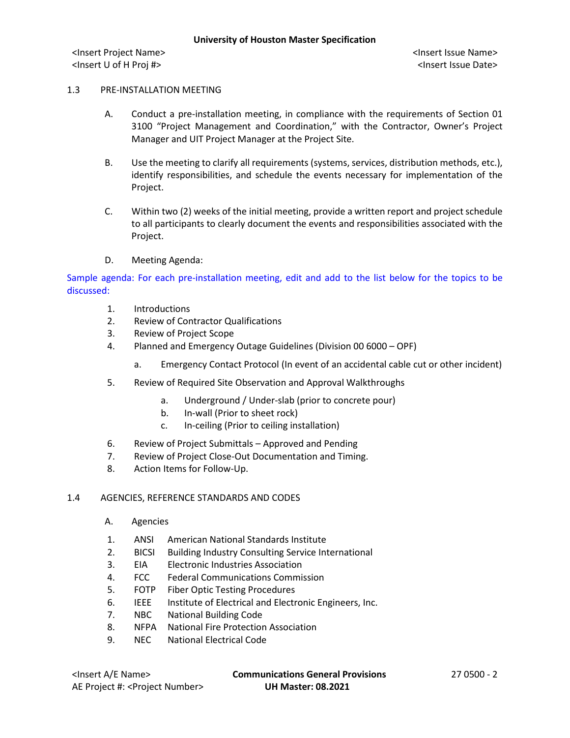#### 1.3 PRE-INSTALLATION MEETING

- A. Conduct a pre-installation meeting, in compliance with the requirements of Section 01 3100 "Project Management and Coordination," with the Contractor, Owner's Project Manager and UIT Project Manager at the Project Site.
- B. Use the meeting to clarify all requirements (systems, services, distribution methods, etc.), identify responsibilities, and schedule the events necessary for implementation of the Project.
- C. Within two (2) weeks of the initial meeting, provide a written report and project schedule to all participants to clearly document the events and responsibilities associated with the Project.
- D. Meeting Agenda:

Sample agenda: For each pre-installation meeting, edit and add to the list below for the topics to be discussed:

- 1. Introductions
- 2. Review of Contractor Qualifications
- 3. Review of Project Scope
- 4. Planned and Emergency Outage Guidelines (Division 00 6000 OPF)
	- a. Emergency Contact Protocol (In event of an accidental cable cut or other incident)
- 5. Review of Required Site Observation and Approval Walkthroughs
	- a. Underground / Under-slab (prior to concrete pour)
	- b. In-wall (Prior to sheet rock)
	- c. In-ceiling (Prior to ceiling installation)
- 6. Review of Project Submittals Approved and Pending
- 7. Review of Project Close-Out Documentation and Timing.
- 8. Action Items for Follow-Up.

#### 1.4 AGENCIES, REFERENCE STANDARDS AND CODES

- A. Agencies
- 1. ANSI American National Standards Institute
- 2. BICSI Building Industry Consulting Service International
- 3. EIA Electronic Industries Association
- 4. FCC Federal Communications Commission
- 5. FOTP Fiber Optic Testing Procedures
- 6. IEEE Institute of Electrical and Electronic Engineers, Inc.
- 7. NBC National Building Code
- 8. NFPA National Fire Protection Association
- 9. NEC National Electrical Code

<Insert A/E Name> **Communications General Provisions** 27 0500 - 2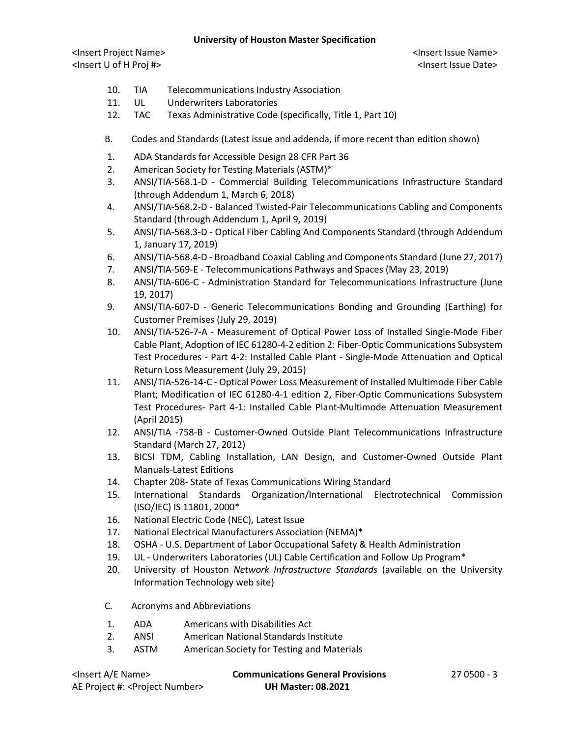<Insert Project Name> <Insert Issue Name> <Insert U of H Proj #> <Insert Issue Date>

- 10. TIA Telecommunications Industry Association
- 11. UL Underwriters Laboratories
- 12. TAC Texas Administrative Code (specifically, Title 1, Part 10)
- B. Codes and Standards (Latest issue and addenda, if more recent than edition shown)
- 1. ADA Standards for Accessible Design 28 CFR Part 36
- 2. American Society for Testing Materials (ASTM)\*
- 3. ANSI/TIA-568.1-D Commercial Building Telecommunications Infrastructure Standard (through Addendum 1, March 6, 2018)
- 4. ANSI/TIA-568.2-D Balanced Twisted-Pair Telecommunications Cabling and Components Standard (through Addendum 1, April 9, 2019)
- 5. ANSI/TIA-568.3-D Optical Fiber Cabling And Components Standard (through Addendum 1, January 17, 2019)
- 6. ANSI/TIA-568.4-D Broadband Coaxial Cabling and Components Standard (June 27, 2017)
- 7. ANSI/TIA-569-E Telecommunications Pathways and Spaces (May 23, 2019)
- 8. ANSI/TIA-606-C Administration Standard for Telecommunications Infrastructure (June 19, 2017)
- 9. ANSI/TIA-607-D Generic Telecommunications Bonding and Grounding (Earthing) for Customer Premises (July 29, 2019)
- 10. ANSI/TIA-526-7-A Measurement of Optical Power Loss of Installed Single-Mode Fiber Cable Plant, Adoption of IEC 61280-4-2 edition 2: Fiber-Optic Communications Subsystem Test Procedures - Part 4-2: Installed Cable Plant - Single-Mode Attenuation and Optical Return Loss Measurement (July 29, 2015)
- 11. ANSI/TIA-526-14-C Optical Power Loss Measurement of Installed Multimode Fiber Cable Plant; Modification of IEC 61280-4-1 edition 2, Fiber-Optic Communications Subsystem Test Procedures- Part 4-1: Installed Cable Plant-Multimode Attenuation Measurement (April 2015)
- 12. ANSI/TIA -758-B Customer-Owned Outside Plant Telecommunications Infrastructure Standard (March 27, 2012)
- 13. BICSI TDM, Cabling Installation, LAN Design, and Customer-Owned Outside Plant Manuals-Latest Editions
- 14. Chapter 208- State of Texas Communications Wiring Standard
- 15. International Standards Organization/International Electrotechnical Commission (ISO/IEC) IS 11801, 2000\*
- 16. National Electric Code (NEC), Latest Issue
- 17. National Electrical Manufacturers Association (NEMA)\*
- 18. OSHA U.S. Department of Labor Occupational Safety & Health Administration
- 19. UL Underwriters Laboratories (UL) Cable Certification and Follow Up Program\*
- 20. University of Houston *Network Infrastructure Standards* (available on the University Information Technology web site)
- C. Acronyms and Abbreviations
- 1. ADA Americans with Disabilities Act
- 2. ANSI American National Standards Institute
- 3. ASTM American Society for Testing and Materials

| <lnsert a="" e="" name=""></lnsert>         | <b>Communications General Provisions</b> | 27 0500 - 3 |
|---------------------------------------------|------------------------------------------|-------------|
| AE Project #: <project number=""></project> | <b>UH Master: 08.2021</b>                |             |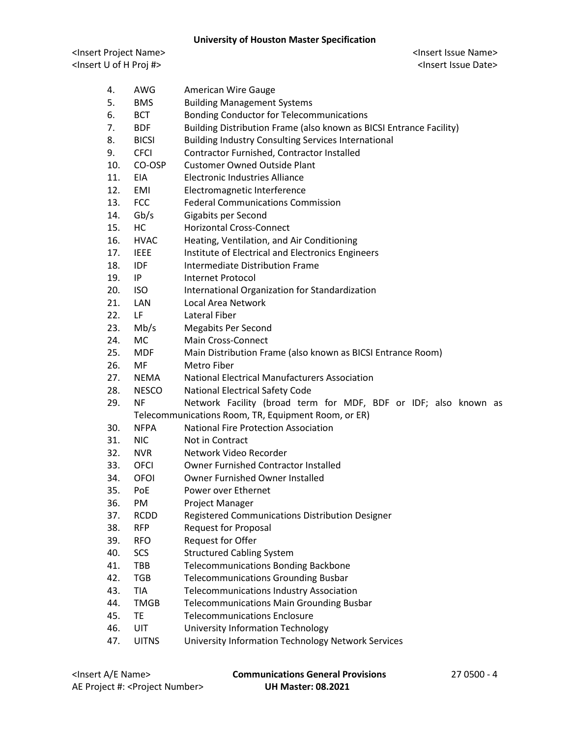<Insert Project Name> <Insert Issue Name> <Insert U of H Proj #> <Insert Issue Date>

| 4.  | AWG          | <b>American Wire Gauge</b>                                          |
|-----|--------------|---------------------------------------------------------------------|
| 5.  | <b>BMS</b>   | <b>Building Management Systems</b>                                  |
| 6.  | <b>BCT</b>   | <b>Bonding Conductor for Telecommunications</b>                     |
| 7.  | <b>BDF</b>   | Building Distribution Frame (also known as BICSI Entrance Facility) |
| 8.  | <b>BICSI</b> | <b>Building Industry Consulting Services International</b>          |
| 9.  | <b>CFCI</b>  | Contractor Furnished, Contractor Installed                          |
| 10. | CO-OSP       | <b>Customer Owned Outside Plant</b>                                 |
| 11. | <b>EIA</b>   | Electronic Industries Alliance                                      |
| 12. | EMI          | Electromagnetic Interference                                        |
| 13. | <b>FCC</b>   | <b>Federal Communications Commission</b>                            |
| 14. | Gb/s         | Gigabits per Second                                                 |
| 15. | HC           | <b>Horizontal Cross-Connect</b>                                     |
| 16. | <b>HVAC</b>  | Heating, Ventilation, and Air Conditioning                          |
| 17. | <b>IEEE</b>  | Institute of Electrical and Electronics Engineers                   |
| 18. | <b>IDF</b>   | Intermediate Distribution Frame                                     |
| 19. | IP           | <b>Internet Protocol</b>                                            |
| 20. | <b>ISO</b>   | International Organization for Standardization                      |
| 21. | LAN          | Local Area Network                                                  |
| 22. | LF           | Lateral Fiber                                                       |
| 23. | Mb/s         | <b>Megabits Per Second</b>                                          |
| 24. | <b>MC</b>    | Main Cross-Connect                                                  |
| 25. | <b>MDF</b>   | Main Distribution Frame (also known as BICSI Entrance Room)         |
| 26. | MF           | Metro Fiber                                                         |
| 27. | NEMA         | <b>National Electrical Manufacturers Association</b>                |
| 28. | <b>NESCO</b> | National Electrical Safety Code                                     |
| 29. | <b>NF</b>    | Network Facility (broad term for MDF, BDF or IDF; also known as     |
|     |              | Telecommunications Room, TR, Equipment Room, or ER)                 |
| 30. | <b>NFPA</b>  | <b>National Fire Protection Association</b>                         |
| 31. | <b>NIC</b>   | Not in Contract                                                     |
| 32. | <b>NVR</b>   | Network Video Recorder                                              |
| 33. | OFCI         | <b>Owner Furnished Contractor Installed</b>                         |
| 34. | OFOI         | Owner Furnished Owner Installed                                     |
| 35. | PoE          | Power over Ethernet                                                 |
| 36. | PM           | Project Manager                                                     |
| 37. | <b>RCDD</b>  | Registered Communications Distribution Designer                     |
| 38. | <b>RFP</b>   | <b>Request for Proposal</b>                                         |
| 39. | <b>RFO</b>   | <b>Request for Offer</b>                                            |
| 40. | SCS          | <b>Structured Cabling System</b>                                    |
| 41. | TBB          | <b>Telecommunications Bonding Backbone</b>                          |
| 42. | <b>TGB</b>   | <b>Telecommunications Grounding Busbar</b>                          |
| 43. | <b>TIA</b>   | <b>Telecommunications Industry Association</b>                      |
| 44. | <b>TMGB</b>  | <b>Telecommunications Main Grounding Busbar</b>                     |
| 45. | TE           | <b>Telecommunications Enclosure</b>                                 |
| 46. | UIT          | <b>University Information Technology</b>                            |
| 47. | <b>UITNS</b> | University Information Technology Network Services                  |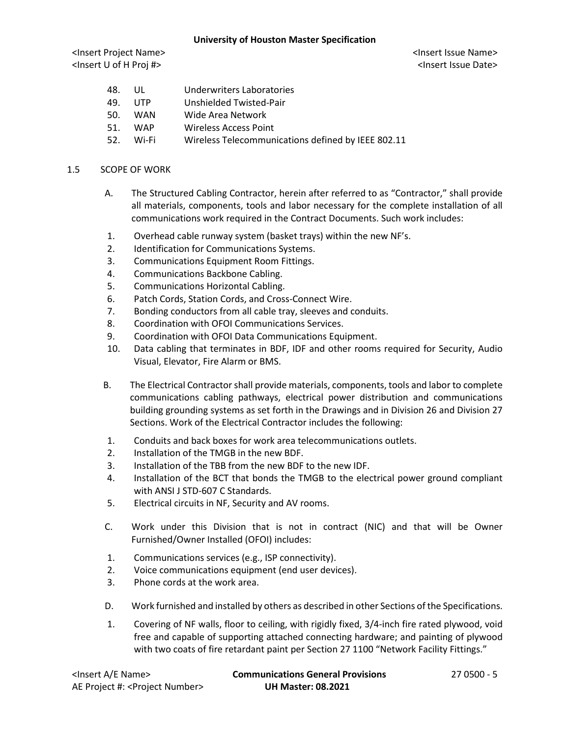<Insert Project Name> <Insert Issue Name> <Insert U of H Proj #> <Insert Issue Date>

| 48. | UL         | Underwriters Laboratories |
|-----|------------|---------------------------|
| 49. | UTP        | Unshielded Twisted-Pair   |
| 50. | WAN        | Wide Area Network         |
| 51. | <b>WAP</b> | Wireless Access Point     |
|     |            |                           |

52. Wi-Fi Wireless Telecommunications defined by IEEE 802.11

### 1.5 SCOPE OF WORK

- A. The Structured Cabling Contractor, herein after referred to as "Contractor," shall provide all materials, components, tools and labor necessary for the complete installation of all communications work required in the Contract Documents. Such work includes:
- 1. Overhead cable runway system (basket trays) within the new NF's.
- 2. Identification for Communications Systems.
- 3. Communications Equipment Room Fittings.
- 4. Communications Backbone Cabling.
- 5. Communications Horizontal Cabling.
- 6. Patch Cords, Station Cords, and Cross-Connect Wire.
- 7. Bonding conductors from all cable tray, sleeves and conduits.
- 8. Coordination with OFOI Communications Services.
- 9. Coordination with OFOI Data Communications Equipment.
- 10. Data cabling that terminates in BDF, IDF and other rooms required for Security, Audio Visual, Elevator, Fire Alarm or BMS.
- B. The Electrical Contractor shall provide materials, components, tools and labor to complete communications cabling pathways, electrical power distribution and communications building grounding systems as set forth in the Drawings and in Division 26 and Division 27 Sections. Work of the Electrical Contractor includes the following:
- 1. Conduits and back boxes for work area telecommunications outlets.
- 2. Installation of the TMGB in the new BDF.
- 3. Installation of the TBB from the new BDF to the new IDF.
- 4. Installation of the BCT that bonds the TMGB to the electrical power ground compliant with ANSI J STD-607 C Standards.
- 5. Electrical circuits in NF, Security and AV rooms.
- C. Work under this Division that is not in contract (NIC) and that will be Owner Furnished/Owner Installed (OFOI) includes:
- 1. Communications services (e.g., ISP connectivity).
- 2. Voice communications equipment (end user devices).
- 3. Phone cords at the work area.
- D. Work furnished and installed by others as described in other Sections of the Specifications.
- 1. Covering of NF walls, floor to ceiling, with rigidly fixed, 3/4-inch fire rated plywood, void free and capable of supporting attached connecting hardware; and painting of plywood with two coats of fire retardant paint per Section 27 1100 "Network Facility Fittings."

| <lnsert a="" e="" name=""></lnsert>         | <b>Communications General Provisions</b> | $270500 - 5$ |
|---------------------------------------------|------------------------------------------|--------------|
| AE Project #: <project number=""></project> | <b>UH Master: 08.2021</b>                |              |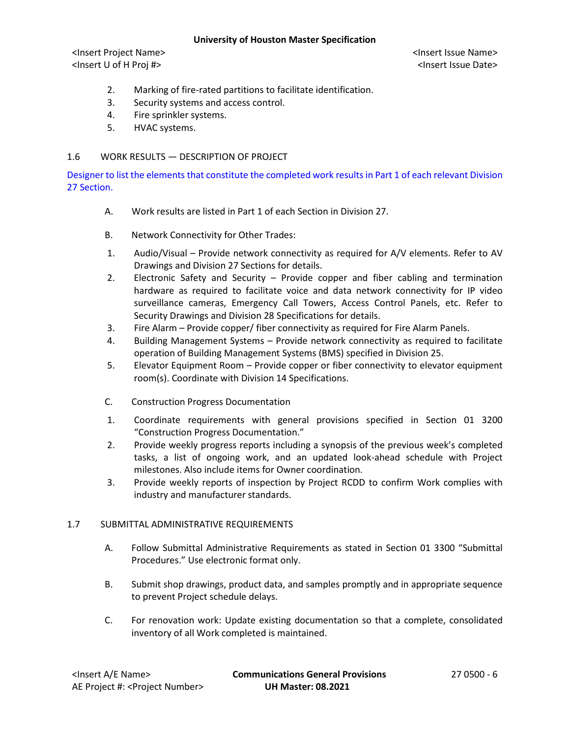<Insert Project Name> <Insert Issue Name> <Insert U of H Proj #> <Insert Issue Date>

- 2. Marking of fire-rated partitions to facilitate identification.
- 3. Security systems and access control.
- 4. Fire sprinkler systems.
- 5. HVAC systems.

# 1.6 WORK RESULTS — DESCRIPTION OF PROJECT

Designer to list the elements that constitute the completed work results in Part 1 of each relevant Division 27 Section.

- A. Work results are listed in Part 1 of each Section in Division 27.
- B. Network Connectivity for Other Trades:
- 1. Audio/Visual Provide network connectivity as required for A/V elements. Refer to AV Drawings and Division 27 Sections for details.
- 2. Electronic Safety and Security Provide copper and fiber cabling and termination hardware as required to facilitate voice and data network connectivity for IP video surveillance cameras, Emergency Call Towers, Access Control Panels, etc. Refer to Security Drawings and Division 28 Specifications for details.
- 3. Fire Alarm Provide copper/ fiber connectivity as required for Fire Alarm Panels.
- 4. Building Management Systems Provide network connectivity as required to facilitate operation of Building Management Systems (BMS) specified in Division 25.
- 5. Elevator Equipment Room Provide copper or fiber connectivity to elevator equipment room(s). Coordinate with Division 14 Specifications.
- C. Construction Progress Documentation
- 1. Coordinate requirements with general provisions specified in Section 01 3200 "Construction Progress Documentation."
- 2. Provide weekly progress reports including a synopsis of the previous week's completed tasks, a list of ongoing work, and an updated look-ahead schedule with Project milestones. Also include items for Owner coordination.
- 3. Provide weekly reports of inspection by Project RCDD to confirm Work complies with industry and manufacturer standards.

## 1.7 SUBMITTAL ADMINISTRATIVE REQUIREMENTS

- A. Follow Submittal Administrative Requirements as stated in Section 01 3300 "Submittal Procedures." Use electronic format only.
- B. Submit shop drawings, product data, and samples promptly and in appropriate sequence to prevent Project schedule delays.
- C. For renovation work: Update existing documentation so that a complete, consolidated inventory of all Work completed is maintained.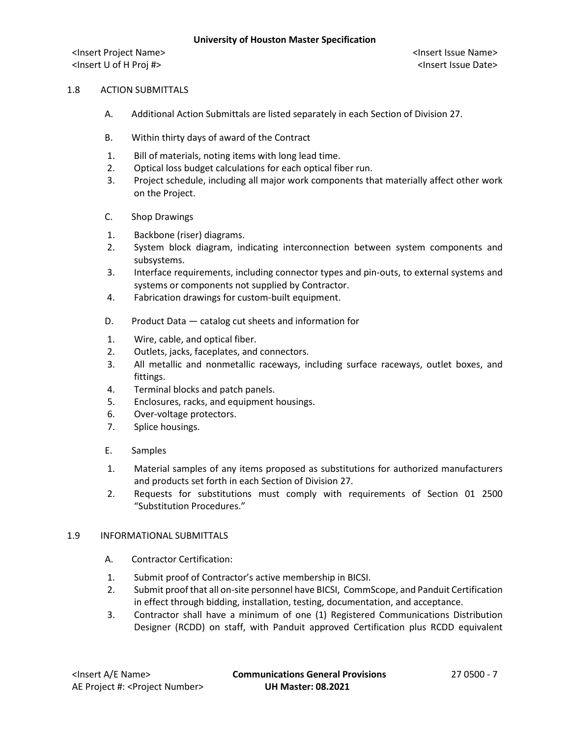### 1.8 ACTION SUBMITTALS

- A. Additional Action Submittals are listed separately in each Section of Division 27.
- B. Within thirty days of award of the Contract
- 1. Bill of materials, noting items with long lead time.
- 2. Optical loss budget calculations for each optical fiber run.
- 3. Project schedule, including all major work components that materially affect other work on the Project.
- C. Shop Drawings
- 1. Backbone (riser) diagrams.
- 2. System block diagram, indicating interconnection between system components and subsystems.
- 3. Interface requirements, including connector types and pin-outs, to external systems and systems or components not supplied by Contractor.
- 4. Fabrication drawings for custom-built equipment.
- D. Product Data catalog cut sheets and information for
- 1. Wire, cable, and optical fiber.
- 2. Outlets, jacks, faceplates, and connectors.
- 3. All metallic and nonmetallic raceways, including surface raceways, outlet boxes, and fittings.
- 4. Terminal blocks and patch panels.
- 5. Enclosures, racks, and equipment housings.
- 6. Over-voltage protectors.
- 7. Splice housings.
- E. Samples
- 1. Material samples of any items proposed as substitutions for authorized manufacturers and products set forth in each Section of Division 27.
- 2. Requests for substitutions must comply with requirements of Section 01 2500 "Substitution Procedures."

## 1.9 INFORMATIONAL SUBMITTALS

- A. Contractor Certification:
- 1. Submit proof of Contractor's active membership in BICSI.
- 2. Submit proof that all on-site personnel have BICSI, CommScope, and Panduit Certification in effect through bidding, installation, testing, documentation, and acceptance.
- 3. Contractor shall have a minimum of one (1) Registered Communications Distribution Designer (RCDD) on staff, with Panduit approved Certification plus RCDD equivalent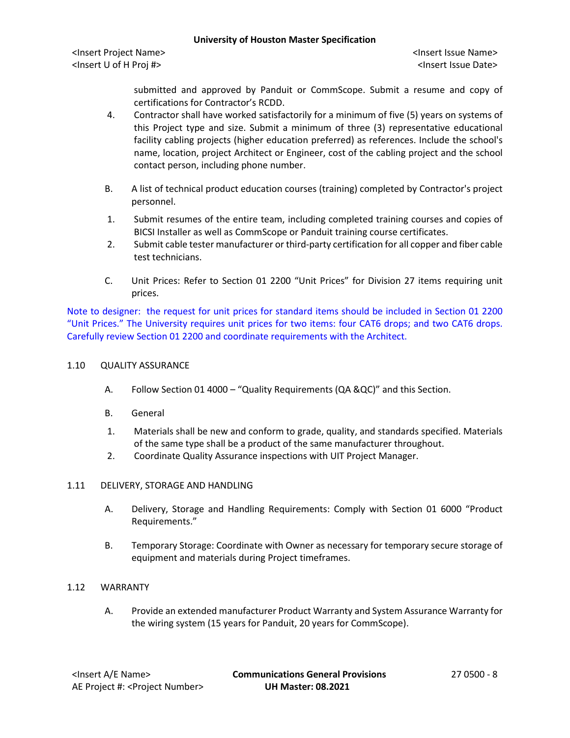<Insert Project Name> <Insert Issue Name> <Insert U of H Proj #> <Insert Issue Date>

submitted and approved by Panduit or CommScope. Submit a resume and copy of certifications for Contractor's RCDD.

- 4. Contractor shall have worked satisfactorily for a minimum of five (5) years on systems of this Project type and size. Submit a minimum of three (3) representative educational facility cabling projects (higher education preferred) as references. Include the school's name, location, project Architect or Engineer, cost of the cabling project and the school contact person, including phone number.
- B. A list of technical product education courses (training) completed by Contractor's project personnel.
- 1. Submit resumes of the entire team, including completed training courses and copies of BICSI Installer as well as CommScope or Panduit training course certificates.
- 2. Submit cable tester manufacturer or third-party certification for all copper and fiber cable test technicians.
- C. Unit Prices: Refer to Section 01 2200 "Unit Prices" for Division 27 items requiring unit prices.

Note to designer: the request for unit prices for standard items should be included in Section 01 2200 "Unit Prices." The University requires unit prices for two items: four CAT6 drops; and two CAT6 drops. Carefully review Section 01 2200 and coordinate requirements with the Architect.

# 1.10 QUALITY ASSURANCE

- A. Follow Section 01 4000 "Quality Requirements (QA &QC)" and this Section.
- B. General
- 1. Materials shall be new and conform to grade, quality, and standards specified. Materials of the same type shall be a product of the same manufacturer throughout.
- 2. Coordinate Quality Assurance inspections with UIT Project Manager.

## 1.11 DELIVERY, STORAGE AND HANDLING

- A. Delivery, Storage and Handling Requirements: Comply with Section 01 6000 "Product Requirements."
- B. Temporary Storage: Coordinate with Owner as necessary for temporary secure storage of equipment and materials during Project timeframes.

## 1.12 WARRANTY

A. Provide an extended manufacturer Product Warranty and System Assurance Warranty for the wiring system (15 years for Panduit, 20 years for CommScope).

<Insert A/E Name> **Communications General Provisions** 27 0500 - 8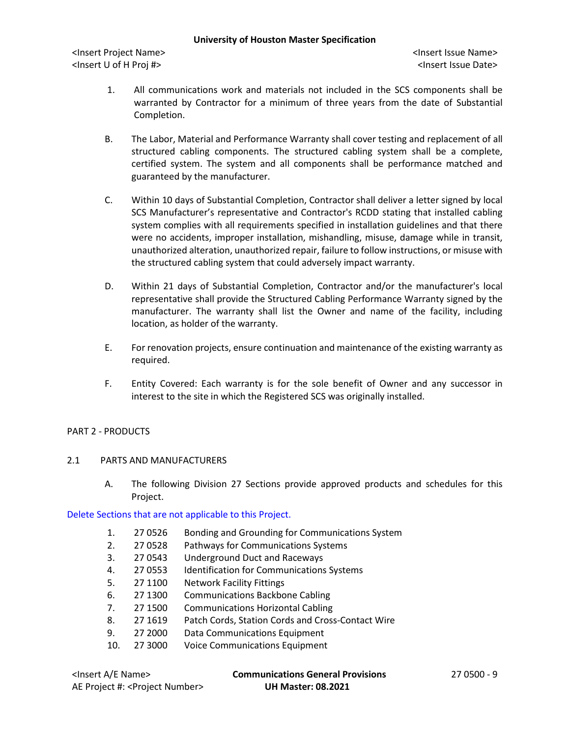<Insert Project Name> <Insert Issue Name> <Insert U of H Proj #> <Insert Issue Date>

- 1. All communications work and materials not included in the SCS components shall be warranted by Contractor for a minimum of three years from the date of Substantial Completion.
- B. The Labor, Material and Performance Warranty shall cover testing and replacement of all structured cabling components. The structured cabling system shall be a complete, certified system. The system and all components shall be performance matched and guaranteed by the manufacturer.
- C. Within 10 days of Substantial Completion, Contractor shall deliver a letter signed by local SCS Manufacturer's representative and Contractor's RCDD stating that installed cabling system complies with all requirements specified in installation guidelines and that there were no accidents, improper installation, mishandling, misuse, damage while in transit, unauthorized alteration, unauthorized repair, failure to follow instructions, or misuse with the structured cabling system that could adversely impact warranty.
- D. Within 21 days of Substantial Completion, Contractor and/or the manufacturer's local representative shall provide the Structured Cabling Performance Warranty signed by the manufacturer. The warranty shall list the Owner and name of the facility, including location, as holder of the warranty.
- E. For renovation projects, ensure continuation and maintenance of the existing warranty as required.
- F. Entity Covered: Each warranty is for the sole benefit of Owner and any successor in interest to the site in which the Registered SCS was originally installed.

#### PART 2 - PRODUCTS

### 2.1 PARTS AND MANUFACTURERS

A. The following Division 27 Sections provide approved products and schedules for this Project.

#### Delete Sections that are not applicable to this Project.

- 1. 27 0526 Bonding and Grounding for Communications System
- 2. 27 0528 Pathways for Communications Systems
- 3. 27 0543 Underground Duct and Raceways
- 4. 27 0553 Identification for Communications Systems
- 5. 27 1100 Network Facility Fittings
- 6. 27 1300 Communications Backbone Cabling
- 7. 27 1500 Communications Horizontal Cabling
- 8. 27 1619 Patch Cords, Station Cords and Cross-Contact Wire
- 9. 27 2000 Data Communications Equipment
- 10. 27 3000 Voice Communications Equipment

| <lnsert a="" e="" name=""></lnsert>         | <b>Communications General Provisions</b> | 27 0500 - 9 |
|---------------------------------------------|------------------------------------------|-------------|
| AE Project #: <project number=""></project> | <b>UH Master: 08.2021</b>                |             |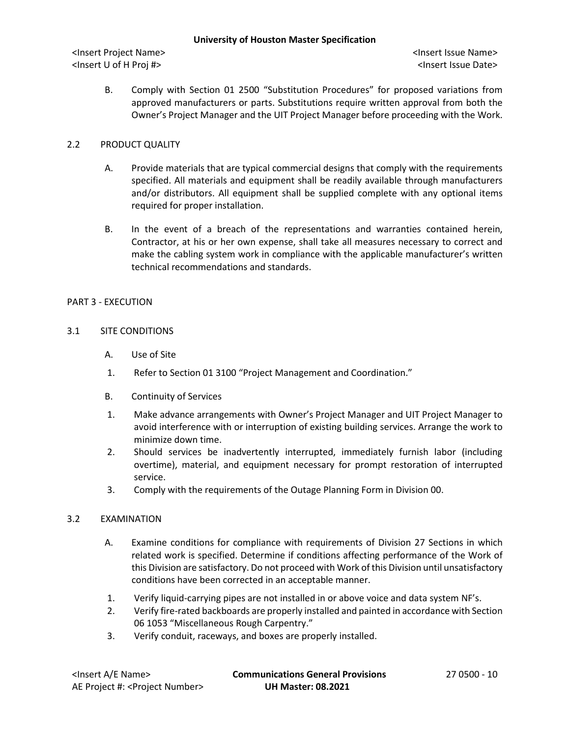B. Comply with Section 01 2500 "Substitution Procedures" for proposed variations from approved manufacturers or parts. Substitutions require written approval from both the Owner's Project Manager and the UIT Project Manager before proceeding with the Work.

# 2.2 PRODUCT QUALITY

- A. Provide materials that are typical commercial designs that comply with the requirements specified. All materials and equipment shall be readily available through manufacturers and/or distributors. All equipment shall be supplied complete with any optional items required for proper installation.
- B. In the event of a breach of the representations and warranties contained herein, Contractor, at his or her own expense, shall take all measures necessary to correct and make the cabling system work in compliance with the applicable manufacturer's written technical recommendations and standards.

## PART 3 - EXECUTION

# 3.1 SITE CONDITIONS

- A. Use of Site
- 1. Refer to Section 01 3100 "Project Management and Coordination."
- B. Continuity of Services
- 1. Make advance arrangements with Owner's Project Manager and UIT Project Manager to avoid interference with or interruption of existing building services. Arrange the work to minimize down time.
- 2. Should services be inadvertently interrupted, immediately furnish labor (including overtime), material, and equipment necessary for prompt restoration of interrupted service.
- 3. Comply with the requirements of the Outage Planning Form in Division 00.

## 3.2 EXAMINATION

- A. Examine conditions for compliance with requirements of Division 27 Sections in which related work is specified. Determine if conditions affecting performance of the Work of this Division are satisfactory. Do not proceed with Work of this Division until unsatisfactory conditions have been corrected in an acceptable manner.
- 1. Verify liquid-carrying pipes are not installed in or above voice and data system NF's.
- 2. Verify fire-rated backboards are properly installed and painted in accordance with Section 06 1053 "Miscellaneous Rough Carpentry."
- 3. Verify conduit, raceways, and boxes are properly installed.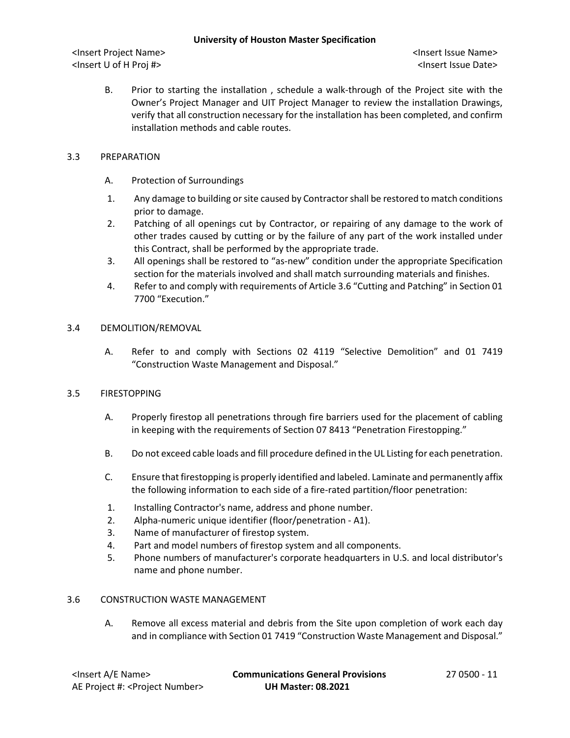B. Prior to starting the installation , schedule a walk-through of the Project site with the Owner's Project Manager and UIT Project Manager to review the installation Drawings, verify that all construction necessary for the installation has been completed, and confirm installation methods and cable routes.

# 3.3 PREPARATION

- A. Protection of Surroundings
- 1. Any damage to building or site caused by Contractorshall be restored to match conditions prior to damage.
- 2. Patching of all openings cut by Contractor, or repairing of any damage to the work of other trades caused by cutting or by the failure of any part of the work installed under this Contract, shall be performed by the appropriate trade.
- 3. All openings shall be restored to "as-new" condition under the appropriate Specification section for the materials involved and shall match surrounding materials and finishes.
- 4. Refer to and comply with requirements of Article 3.6 "Cutting and Patching" in Section 01 7700 "Execution."

## 3.4 DEMOLITION/REMOVAL

A. Refer to and comply with Sections 02 4119 "Selective Demolition" and 01 7419 "Construction Waste Management and Disposal."

## 3.5 FIRESTOPPING

- A. Properly firestop all penetrations through fire barriers used for the placement of cabling in keeping with the requirements of Section 07 8413 "Penetration Firestopping."
- B. Do not exceed cable loads and fill procedure defined in the UL Listing for each penetration.
- C. Ensure that firestopping is properly identified and labeled. Laminate and permanently affix the following information to each side of a fire-rated partition/floor penetration:
- 1. Installing Contractor's name, address and phone number.
- 2. Alpha-numeric unique identifier (floor/penetration A1).
- 3. Name of manufacturer of firestop system.
- 4. Part and model numbers of firestop system and all components.
- 5. Phone numbers of manufacturer's corporate headquarters in U.S. and local distributor's name and phone number.

## 3.6 CONSTRUCTION WASTE MANAGEMENT

A. Remove all excess material and debris from the Site upon completion of work each day and in compliance with Section 01 7419 "Construction Waste Management and Disposal."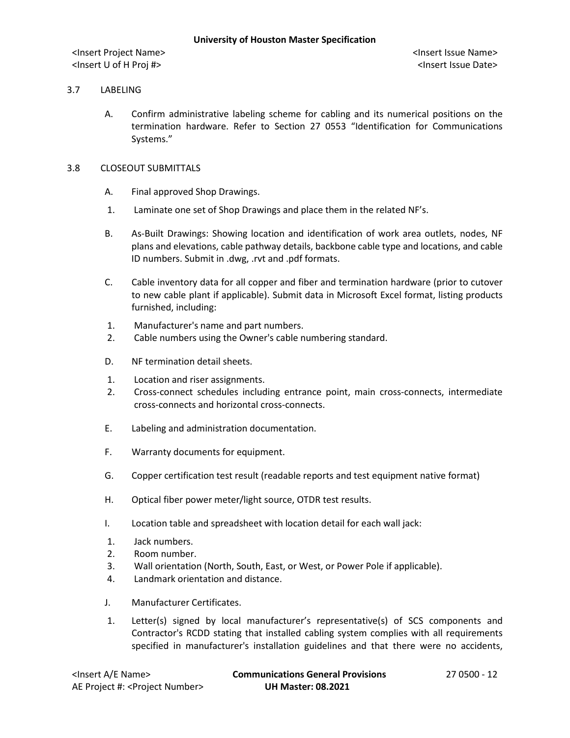### 3.7 LABELING

A. Confirm administrative labeling scheme for cabling and its numerical positions on the termination hardware. Refer to Section 27 0553 "Identification for Communications Systems."

### 3.8 CLOSEOUT SUBMITTALS

- A. Final approved Shop Drawings.
- 1. Laminate one set of Shop Drawings and place them in the related NF's.
- B. As-Built Drawings: Showing location and identification of work area outlets, nodes, NF plans and elevations, cable pathway details, backbone cable type and locations, and cable ID numbers. Submit in .dwg, .rvt and .pdf formats.
- C. Cable inventory data for all copper and fiber and termination hardware (prior to cutover to new cable plant if applicable). Submit data in Microsoft Excel format, listing products furnished, including:
- 1. Manufacturer's name and part numbers.
- 2. Cable numbers using the Owner's cable numbering standard.
- D. NF termination detail sheets.
- 1. Location and riser assignments.
- 2. Cross-connect schedules including entrance point, main cross-connects, intermediate cross-connects and horizontal cross-connects.
- E. Labeling and administration documentation.
- F. Warranty documents for equipment.
- G. Copper certification test result (readable reports and test equipment native format)
- H. Optical fiber power meter/light source, OTDR test results.
- I. Location table and spreadsheet with location detail for each wall jack:
- 1. Jack numbers.
- 2. Room number.
- 3. Wall orientation (North, South, East, or West, or Power Pole if applicable).
- 4. Landmark orientation and distance.
- J. Manufacturer Certificates.
- 1. Letter(s) signed by local manufacturer's representative(s) of SCS components and Contractor's RCDD stating that installed cabling system complies with all requirements specified in manufacturer's installation guidelines and that there were no accidents,

| <lnsert a="" e="" name=""></lnsert>         | <b>Communications General Provisions</b> | 27 0500 - 12 |
|---------------------------------------------|------------------------------------------|--------------|
| AE Project #: <project number=""></project> | <b>UH Master: 08.2021</b>                |              |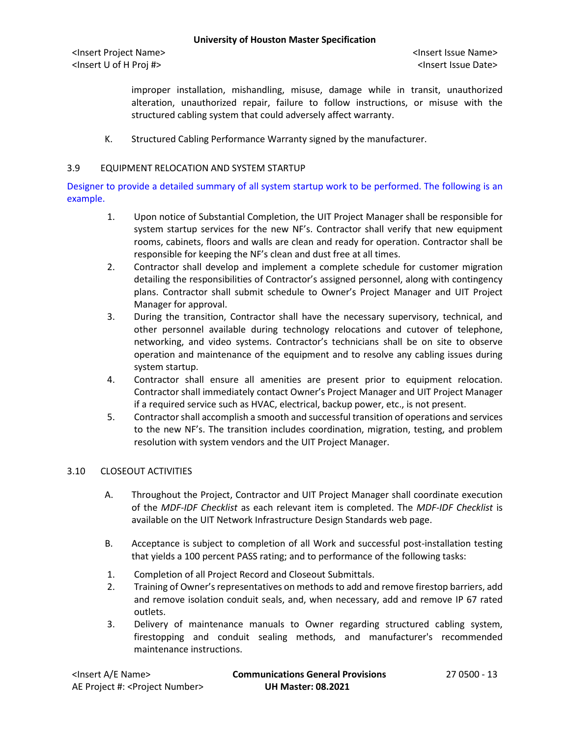improper installation, mishandling, misuse, damage while in transit, unauthorized alteration, unauthorized repair, failure to follow instructions, or misuse with the structured cabling system that could adversely affect warranty.

K. Structured Cabling Performance Warranty signed by the manufacturer.

### 3.9 EQUIPMENT RELOCATION AND SYSTEM STARTUP

Designer to provide a detailed summary of all system startup work to be performed. The following is an example.

- 1. Upon notice of Substantial Completion, the UIT Project Manager shall be responsible for system startup services for the new NF's. Contractor shall verify that new equipment rooms, cabinets, floors and walls are clean and ready for operation. Contractor shall be responsible for keeping the NF's clean and dust free at all times.
- 2. Contractor shall develop and implement a complete schedule for customer migration detailing the responsibilities of Contractor's assigned personnel, along with contingency plans. Contractor shall submit schedule to Owner's Project Manager and UIT Project Manager for approval.
- 3. During the transition, Contractor shall have the necessary supervisory, technical, and other personnel available during technology relocations and cutover of telephone, networking, and video systems. Contractor's technicians shall be on site to observe operation and maintenance of the equipment and to resolve any cabling issues during system startup.
- 4. Contractor shall ensure all amenities are present prior to equipment relocation. Contractor shall immediately contact Owner's Project Manager and UIT Project Manager if a required service such as HVAC, electrical, backup power, etc., is not present.
- 5. Contractor shall accomplish a smooth and successful transition of operations and services to the new NF's. The transition includes coordination, migration, testing, and problem resolution with system vendors and the UIT Project Manager.

### 3.10 CLOSEOUT ACTIVITIES

- A. Throughout the Project, Contractor and UIT Project Manager shall coordinate execution of the *MDF-IDF Checklist* as each relevant item is completed. The *MDF-IDF Checklist* is available on the UIT Network Infrastructure Design Standards web page.
- B. Acceptance is subject to completion of all Work and successful post-installation testing that yields a 100 percent PASS rating; and to performance of the following tasks:
- 1. Completion of all Project Record and Closeout Submittals.
- 2. Training of Owner's representatives on methods to add and remove firestop barriers, add and remove isolation conduit seals, and, when necessary, add and remove IP 67 rated outlets.
- 3. Delivery of maintenance manuals to Owner regarding structured cabling system, firestopping and conduit sealing methods, and manufacturer's recommended maintenance instructions.